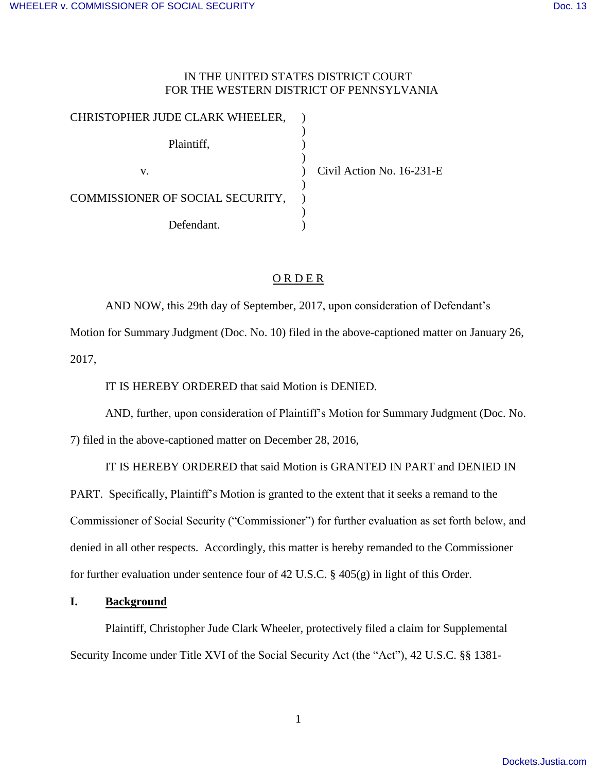## IN THE UNITED STATES DISTRICT COURT FOR THE WESTERN DISTRICT OF PENNSYLVANIA

| CHRISTOPHER JUDE CLARK WHEELER,  |                           |
|----------------------------------|---------------------------|
| Plaintiff,                       |                           |
| v.                               | Civil Action No. 16-231-E |
| COMMISSIONER OF SOCIAL SECURITY, |                           |
| Defendant.                       |                           |

# O R D E R

AND NOW, this 29th day of September, 2017, upon consideration of Defendant's Motion for Summary Judgment (Doc. No. 10) filed in the above-captioned matter on January 26, 2017,

IT IS HEREBY ORDERED that said Motion is DENIED.

AND, further, upon consideration of Plaintiff's Motion for Summary Judgment (Doc. No.

7) filed in the above-captioned matter on December 28, 2016,

IT IS HEREBY ORDERED that said Motion is GRANTED IN PART and DENIED IN

PART. Specifically, Plaintiff's Motion is granted to the extent that it seeks a remand to the Commissioner of Social Security ("Commissioner") for further evaluation as set forth below, and denied in all other respects. Accordingly, this matter is hereby remanded to the Commissioner for further evaluation under sentence four of 42 U.S.C. § 405(g) in light of this Order.

## **I. Background**

 Plaintiff, Christopher Jude Clark Wheeler, protectively filed a claim for Supplemental Security Income under Title XVI of the Social Security Act (the "Act"), 42 U.S.C. §§ 1381-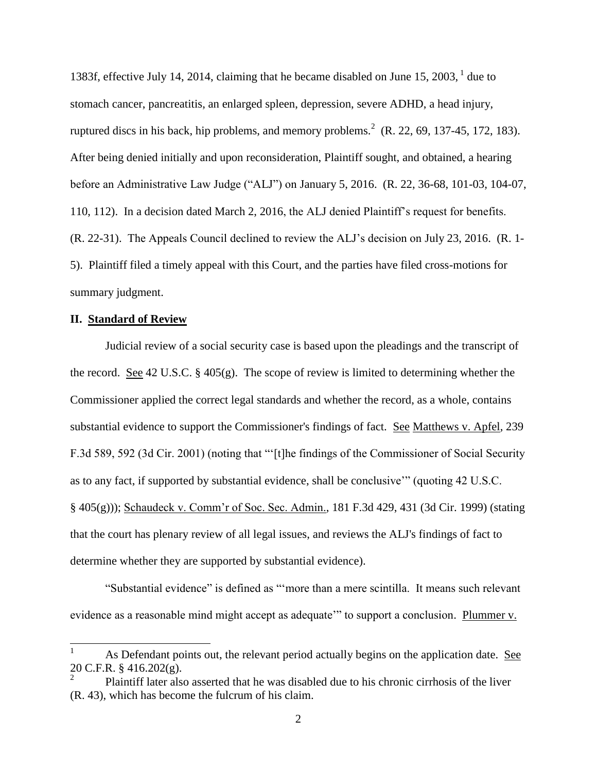1383f, effective July 14, 2014, claiming that he became disabled on June 15, 2003,  $1$  due to stomach cancer, pancreatitis, an enlarged spleen, depression, severe ADHD, a head injury, ruptured discs in his back, hip problems, and memory problems.<sup>2</sup> (R. 22, 69, 137-45, 172, 183). After being denied initially and upon reconsideration, Plaintiff sought, and obtained, a hearing before an Administrative Law Judge ("ALJ") on January 5, 2016. (R. 22, 36-68, 101-03, 104-07, 110, 112). In a decision dated March 2, 2016, the ALJ denied Plaintiff's request for benefits. (R. 22-31). The Appeals Council declined to review the ALJ's decision on July 23, 2016. (R. 1- 5). Plaintiff filed a timely appeal with this Court, and the parties have filed cross-motions for summary judgment.

#### **II. Standard of Review**

 $\overline{a}$ 

Judicial review of a social security case is based upon the pleadings and the transcript of the record. See 42 U.S.C. § 405(g). The scope of review is limited to determining whether the Commissioner applied the correct legal standards and whether the record, as a whole, contains substantial evidence to support the Commissioner's findings of fact. See Matthews v. Apfel, 239 F.3d 589, 592 (3d Cir. 2001) (noting that "'[t]he findings of the Commissioner of Social Security as to any fact, if supported by substantial evidence, shall be conclusive'" (quoting 42 U.S.C. § 405(g))); Schaudeck v. Comm'r of Soc. Sec. Admin., 181 F.3d 429, 431 (3d Cir. 1999) (stating that the court has plenary review of all legal issues, and reviews the ALJ's findings of fact to determine whether they are supported by substantial evidence).

"Substantial evidence" is defined as "'more than a mere scintilla. It means such relevant evidence as a reasonable mind might accept as adequate<sup>27</sup> to support a conclusion. Plummer v.

<sup>1</sup> As Defendant points out, the relevant period actually begins on the application date. See  $20 \text{ C.F.R. }$ § 416.202(g).

Plaintiff later also asserted that he was disabled due to his chronic cirrhosis of the liver (R. 43), which has become the fulcrum of his claim.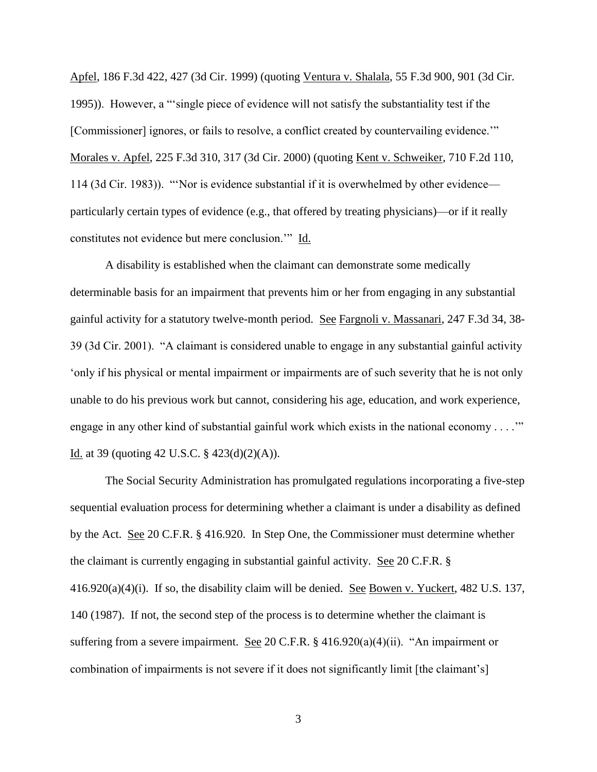Apfel, 186 F.3d 422, 427 (3d Cir. 1999) (quoting Ventura v. Shalala, 55 F.3d 900, 901 (3d Cir. 1995)). However, a "'single piece of evidence will not satisfy the substantiality test if the [Commissioner] ignores, or fails to resolve, a conflict created by countervailing evidence." Morales v. Apfel, 225 F.3d 310, 317 (3d Cir. 2000) (quoting Kent v. Schweiker, 710 F.2d 110, 114 (3d Cir. 1983)). "'Nor is evidence substantial if it is overwhelmed by other evidence particularly certain types of evidence (e.g., that offered by treating physicians)—or if it really constitutes not evidence but mere conclusion.'" Id.

 A disability is established when the claimant can demonstrate some medically determinable basis for an impairment that prevents him or her from engaging in any substantial gainful activity for a statutory twelve-month period. See Fargnoli v. Massanari, 247 F.3d 34, 38- 39 (3d Cir. 2001). "A claimant is considered unable to engage in any substantial gainful activity 'only if his physical or mental impairment or impairments are of such severity that he is not only unable to do his previous work but cannot, considering his age, education, and work experience, engage in any other kind of substantial gainful work which exists in the national economy . . . .'" Id. at 39 (quoting 42 U.S.C.  $\S$  423(d)(2)(A)).

The Social Security Administration has promulgated regulations incorporating a five-step sequential evaluation process for determining whether a claimant is under a disability as defined by the Act. See 20 C.F.R. § 416.920. In Step One, the Commissioner must determine whether the claimant is currently engaging in substantial gainful activity. See 20 C.F.R. § 416.920(a)(4)(i). If so, the disability claim will be denied. See Bowen v. Yuckert, 482 U.S. 137, 140 (1987). If not, the second step of the process is to determine whether the claimant is suffering from a severe impairment. See 20 C.F.R. § 416.920(a)(4)(ii). "An impairment or combination of impairments is not severe if it does not significantly limit [the claimant's]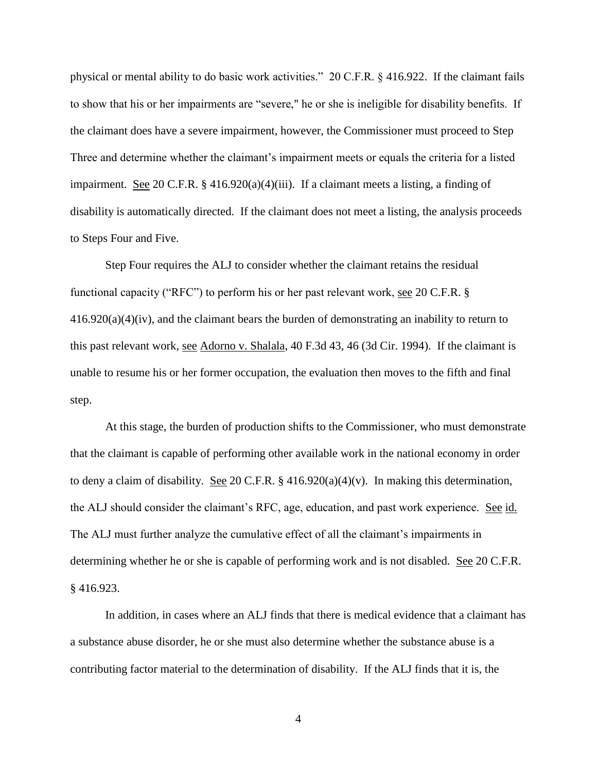physical or mental ability to do basic work activities." 20 C.F.R. § 416.922. If the claimant fails to show that his or her impairments are "severe," he or she is ineligible for disability benefits. If the claimant does have a severe impairment, however, the Commissioner must proceed to Step Three and determine whether the claimant's impairment meets or equals the criteria for a listed impairment. See 20 C.F.R. § 416.920(a)(4)(iii). If a claimant meets a listing, a finding of disability is automatically directed. If the claimant does not meet a listing, the analysis proceeds to Steps Four and Five.

 Step Four requires the ALJ to consider whether the claimant retains the residual functional capacity ("RFC") to perform his or her past relevant work, see 20 C.F.R. §  $416.920(a)(4)(iv)$ , and the claimant bears the burden of demonstrating an inability to return to this past relevant work, see Adorno v. Shalala, 40 F.3d 43, 46 (3d Cir. 1994). If the claimant is unable to resume his or her former occupation, the evaluation then moves to the fifth and final step.

 At this stage, the burden of production shifts to the Commissioner, who must demonstrate that the claimant is capable of performing other available work in the national economy in order to deny a claim of disability. See 20 C.F.R.  $\S$  416.920(a)(4)(v). In making this determination, the ALJ should consider the claimant's RFC, age, education, and past work experience. See id. The ALJ must further analyze the cumulative effect of all the claimant's impairments in determining whether he or she is capable of performing work and is not disabled. See 20 C.F.R. § 416.923.

 In addition, in cases where an ALJ finds that there is medical evidence that a claimant has a substance abuse disorder, he or she must also determine whether the substance abuse is a contributing factor material to the determination of disability. If the ALJ finds that it is, the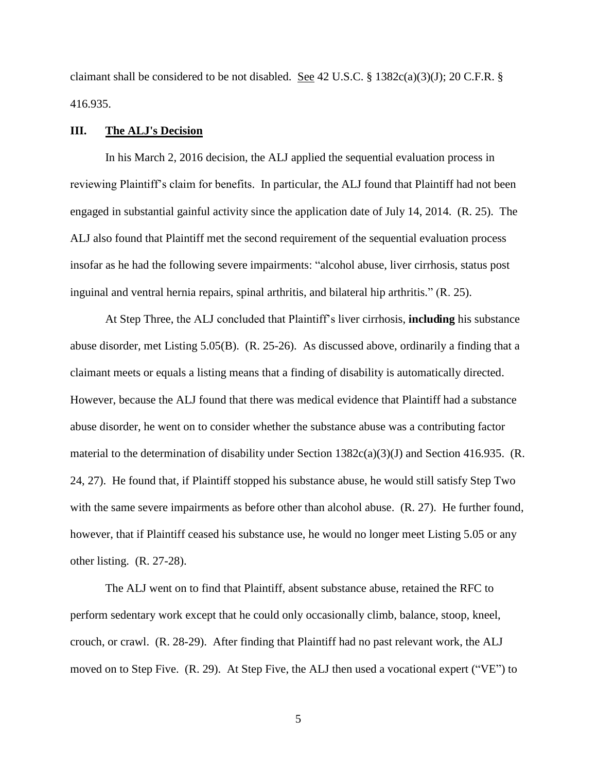claimant shall be considered to be not disabled. See 42 U.S.C. § 1382c(a)(3)(J); 20 C.F.R. § 416.935.

#### **III. The ALJ's Decision**

 In his March 2, 2016 decision, the ALJ applied the sequential evaluation process in reviewing Plaintiff's claim for benefits. In particular, the ALJ found that Plaintiff had not been engaged in substantial gainful activity since the application date of July 14, 2014. (R. 25). The ALJ also found that Plaintiff met the second requirement of the sequential evaluation process insofar as he had the following severe impairments: "alcohol abuse, liver cirrhosis, status post inguinal and ventral hernia repairs, spinal arthritis, and bilateral hip arthritis." (R. 25).

At Step Three, the ALJ concluded that Plaintiff's liver cirrhosis, **including** his substance abuse disorder, met Listing 5.05(B). (R. 25-26). As discussed above, ordinarily a finding that a claimant meets or equals a listing means that a finding of disability is automatically directed. However, because the ALJ found that there was medical evidence that Plaintiff had a substance abuse disorder, he went on to consider whether the substance abuse was a contributing factor material to the determination of disability under Section 1382c(a)(3)(J) and Section 416.935. (R. 24, 27). He found that, if Plaintiff stopped his substance abuse, he would still satisfy Step Two with the same severe impairments as before other than alcohol abuse. (R. 27). He further found, however, that if Plaintiff ceased his substance use, he would no longer meet Listing 5.05 or any other listing. (R. 27-28).

 The ALJ went on to find that Plaintiff, absent substance abuse, retained the RFC to perform sedentary work except that he could only occasionally climb, balance, stoop, kneel, crouch, or crawl. (R. 28-29). After finding that Plaintiff had no past relevant work, the ALJ moved on to Step Five. (R. 29). At Step Five, the ALJ then used a vocational expert ("VE") to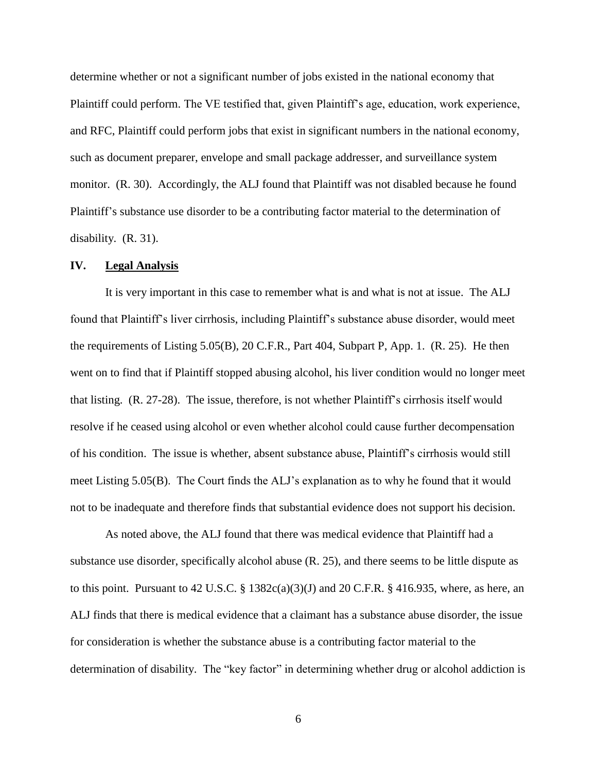determine whether or not a significant number of jobs existed in the national economy that Plaintiff could perform. The VE testified that, given Plaintiff's age, education, work experience, and RFC, Plaintiff could perform jobs that exist in significant numbers in the national economy, such as document preparer, envelope and small package addresser, and surveillance system monitor. (R. 30). Accordingly, the ALJ found that Plaintiff was not disabled because he found Plaintiff's substance use disorder to be a contributing factor material to the determination of disability. (R. 31).

#### **IV. Legal Analysis**

 It is very important in this case to remember what is and what is not at issue. The ALJ found that Plaintiff's liver cirrhosis, including Plaintiff's substance abuse disorder, would meet the requirements of Listing 5.05(B), 20 C.F.R., Part 404, Subpart P, App. 1. (R. 25). He then went on to find that if Plaintiff stopped abusing alcohol, his liver condition would no longer meet that listing. (R. 27-28). The issue, therefore, is not whether Plaintiff's cirrhosis itself would resolve if he ceased using alcohol or even whether alcohol could cause further decompensation of his condition. The issue is whether, absent substance abuse, Plaintiff's cirrhosis would still meet Listing 5.05(B). The Court finds the ALJ's explanation as to why he found that it would not to be inadequate and therefore finds that substantial evidence does not support his decision.

 As noted above, the ALJ found that there was medical evidence that Plaintiff had a substance use disorder, specifically alcohol abuse (R. 25), and there seems to be little dispute as to this point. Pursuant to 42 U.S.C.  $\S$  1382c(a)(3)(J) and 20 C.F.R.  $\S$  416.935, where, as here, an ALJ finds that there is medical evidence that a claimant has a substance abuse disorder, the issue for consideration is whether the substance abuse is a contributing factor material to the determination of disability. The "key factor" in determining whether drug or alcohol addiction is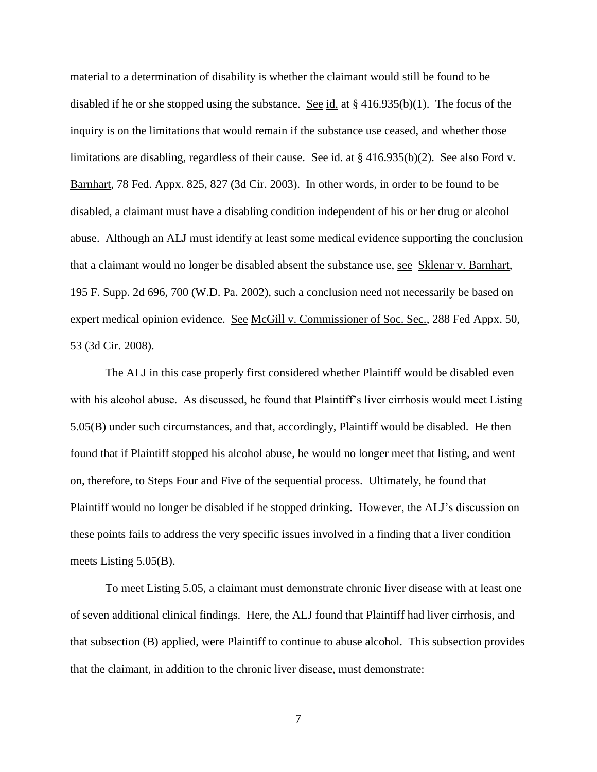material to a determination of disability is whether the claimant would still be found to be disabled if he or she stopped using the substance. See id. at § 416.935(b)(1). The focus of the inquiry is on the limitations that would remain if the substance use ceased, and whether those limitations are disabling, regardless of their cause. See id. at § 416.935(b)(2). See also Ford v. Barnhart, 78 Fed. Appx. 825, 827 (3d Cir. 2003). In other words, in order to be found to be disabled, a claimant must have a disabling condition independent of his or her drug or alcohol abuse. Although an ALJ must identify at least some medical evidence supporting the conclusion that a claimant would no longer be disabled absent the substance use, see Sklenar v. Barnhart, 195 F. Supp. 2d 696, 700 (W.D. Pa. 2002), such a conclusion need not necessarily be based on expert medical opinion evidence. See McGill v. Commissioner of Soc. Sec., 288 Fed Appx. 50, 53 (3d Cir. 2008).

 The ALJ in this case properly first considered whether Plaintiff would be disabled even with his alcohol abuse. As discussed, he found that Plaintiff's liver cirrhosis would meet Listing 5.05(B) under such circumstances, and that, accordingly, Plaintiff would be disabled. He then found that if Plaintiff stopped his alcohol abuse, he would no longer meet that listing, and went on, therefore, to Steps Four and Five of the sequential process. Ultimately, he found that Plaintiff would no longer be disabled if he stopped drinking. However, the ALJ's discussion on these points fails to address the very specific issues involved in a finding that a liver condition meets Listing 5.05(B).

 To meet Listing 5.05, a claimant must demonstrate chronic liver disease with at least one of seven additional clinical findings. Here, the ALJ found that Plaintiff had liver cirrhosis, and that subsection (B) applied, were Plaintiff to continue to abuse alcohol. This subsection provides that the claimant, in addition to the chronic liver disease, must demonstrate: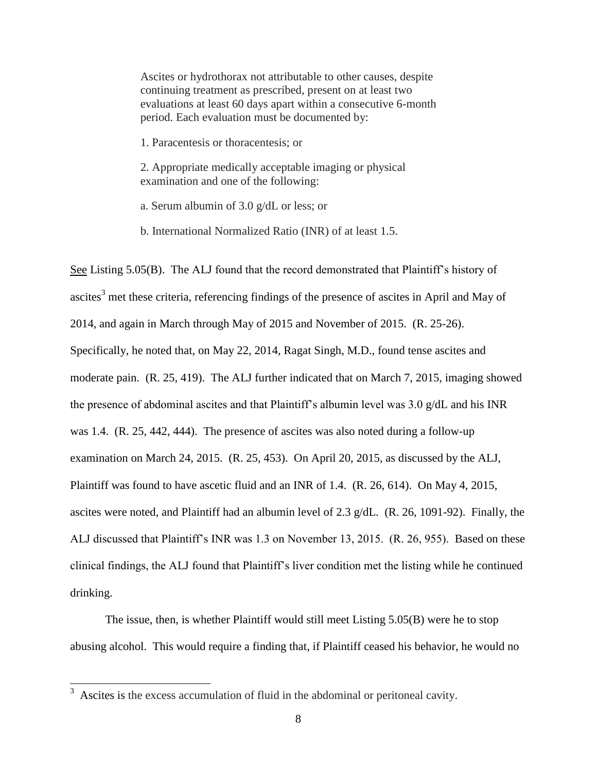Ascites or hydrothorax not attributable to other causes, despite continuing treatment as prescribed, present on at least two evaluations at least 60 days apart within a consecutive 6-month period. Each evaluation must be documented by:

1. Paracentesis or thoracentesis; or

2. Appropriate medically acceptable imaging or physical examination and one of the following:

a. Serum albumin of 3.0 g/dL or less; or

b. International Normalized Ratio (INR) of at least 1.5.

See Listing 5.05(B). The ALJ found that the record demonstrated that Plaintiff's history of ascites<sup>3</sup> met these criteria, referencing findings of the presence of ascites in April and May of 2014, and again in March through May of 2015 and November of 2015. (R. 25-26). Specifically, he noted that, on May 22, 2014, Ragat Singh, M.D., found tense ascites and moderate pain. (R. 25, 419). The ALJ further indicated that on March 7, 2015, imaging showed the presence of abdominal ascites and that Plaintiff's albumin level was 3.0 g/dL and his INR was 1.4. (R. 25, 442, 444). The presence of ascites was also noted during a follow-up examination on March 24, 2015. (R. 25, 453). On April 20, 2015, as discussed by the ALJ, Plaintiff was found to have ascetic fluid and an INR of 1.4. (R. 26, 614). On May 4, 2015, ascites were noted, and Plaintiff had an albumin level of 2.3 g/dL. (R. 26, 1091-92). Finally, the ALJ discussed that Plaintiff's INR was 1.3 on November 13, 2015. (R. 26, 955). Based on these clinical findings, the ALJ found that Plaintiff's liver condition met the listing while he continued drinking.

 The issue, then, is whether Plaintiff would still meet Listing 5.05(B) were he to stop abusing alcohol. This would require a finding that, if Plaintiff ceased his behavior, he would no

<sup>&</sup>lt;sup>3</sup> Ascites is the excess accumulation of fluid in the abdominal or peritoneal cavity.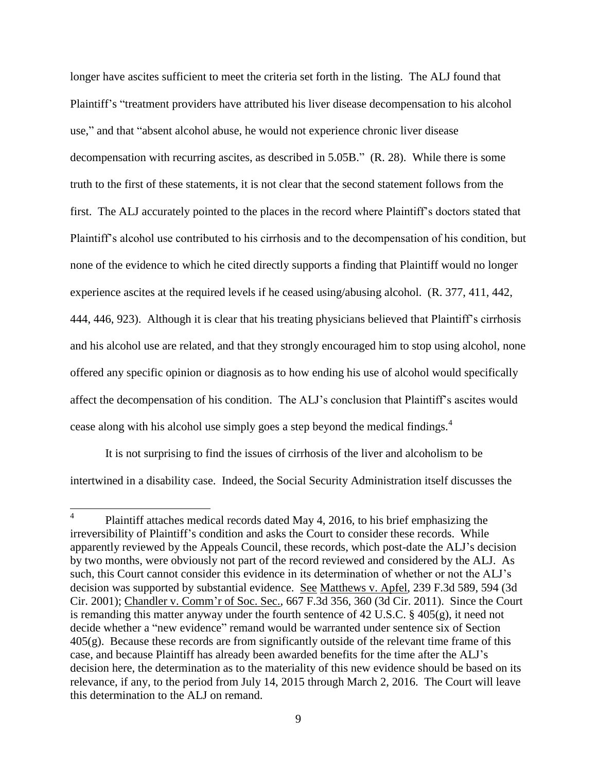longer have ascites sufficient to meet the criteria set forth in the listing. The ALJ found that Plaintiff's "treatment providers have attributed his liver disease decompensation to his alcohol use," and that "absent alcohol abuse, he would not experience chronic liver disease decompensation with recurring ascites, as described in 5.05B." (R. 28). While there is some truth to the first of these statements, it is not clear that the second statement follows from the first. The ALJ accurately pointed to the places in the record where Plaintiff's doctors stated that Plaintiff's alcohol use contributed to his cirrhosis and to the decompensation of his condition, but none of the evidence to which he cited directly supports a finding that Plaintiff would no longer experience ascites at the required levels if he ceased using/abusing alcohol. (R. 377, 411, 442, 444, 446, 923). Although it is clear that his treating physicians believed that Plaintiff's cirrhosis and his alcohol use are related, and that they strongly encouraged him to stop using alcohol, none offered any specific opinion or diagnosis as to how ending his use of alcohol would specifically affect the decompensation of his condition. The ALJ's conclusion that Plaintiff's ascites would cease along with his alcohol use simply goes a step beyond the medical findings.<sup>4</sup>

 It is not surprising to find the issues of cirrhosis of the liver and alcoholism to be intertwined in a disability case. Indeed, the Social Security Administration itself discusses the

 4 Plaintiff attaches medical records dated May 4, 2016, to his brief emphasizing the irreversibility of Plaintiff's condition and asks the Court to consider these records. While apparently reviewed by the Appeals Council, these records, which post-date the ALJ's decision by two months, were obviously not part of the record reviewed and considered by the ALJ. As such, this Court cannot consider this evidence in its determination of whether or not the ALJ's decision was supported by substantial evidence. See Matthews v. Apfel, 239 F.3d 589, 594 (3d) Cir. 2001); Chandler v. Comm'r of Soc. Sec., 667 F.3d 356, 360 (3d Cir. 2011). Since the Court is remanding this matter anyway under the fourth sentence of 42 U.S.C. § 405(g), it need not decide whether a "new evidence" remand would be warranted under sentence six of Section  $405(g)$ . Because these records are from significantly outside of the relevant time frame of this case, and because Plaintiff has already been awarded benefits for the time after the ALJ's decision here, the determination as to the materiality of this new evidence should be based on its relevance, if any, to the period from July 14, 2015 through March 2, 2016. The Court will leave this determination to the ALJ on remand.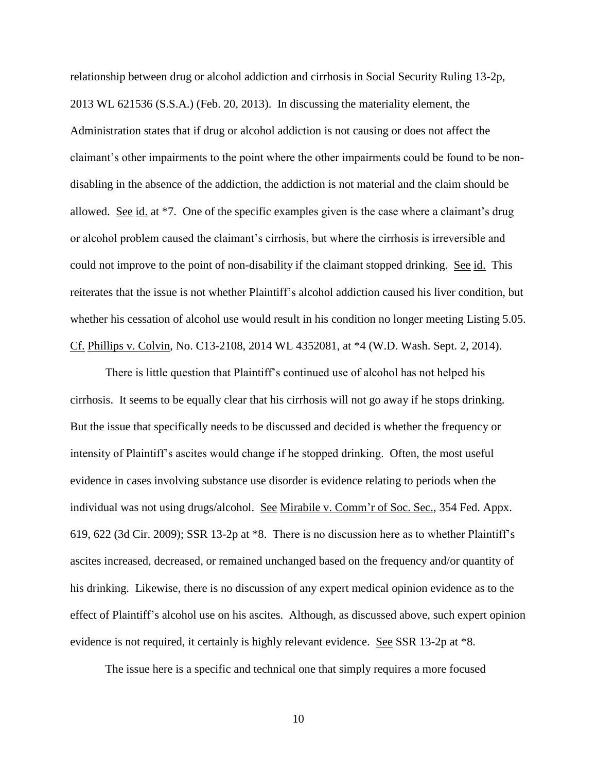relationship between drug or alcohol addiction and cirrhosis in Social Security Ruling 13-2p, 2013 WL 621536 (S.S.A.) (Feb. 20, 2013). In discussing the materiality element, the Administration states that if drug or alcohol addiction is not causing or does not affect the claimant's other impairments to the point where the other impairments could be found to be nondisabling in the absence of the addiction, the addiction is not material and the claim should be allowed. See id. at \*7. One of the specific examples given is the case where a claimant's drug or alcohol problem caused the claimant's cirrhosis, but where the cirrhosis is irreversible and could not improve to the point of non-disability if the claimant stopped drinking. See id. This reiterates that the issue is not whether Plaintiff's alcohol addiction caused his liver condition, but whether his cessation of alcohol use would result in his condition no longer meeting Listing 5.05. Cf. Phillips v. Colvin, No. C13-2108, 2014 WL 4352081, at \*4 (W.D. Wash. Sept. 2, 2014).

There is little question that Plaintiff's continued use of alcohol has not helped his cirrhosis. It seems to be equally clear that his cirrhosis will not go away if he stops drinking. But the issue that specifically needs to be discussed and decided is whether the frequency or intensity of Plaintiff's ascites would change if he stopped drinking. Often, the most useful evidence in cases involving substance use disorder is evidence relating to periods when the individual was not using drugs/alcohol. See Mirabile v. Comm'r of Soc. Sec., 354 Fed. Appx. 619, 622 (3d Cir. 2009); SSR 13-2p at \*8. There is no discussion here as to whether Plaintiff's ascites increased, decreased, or remained unchanged based on the frequency and/or quantity of his drinking. Likewise, there is no discussion of any expert medical opinion evidence as to the effect of Plaintiff's alcohol use on his ascites. Although, as discussed above, such expert opinion evidence is not required, it certainly is highly relevant evidence. See SSR 13-2p at \*8.

The issue here is a specific and technical one that simply requires a more focused